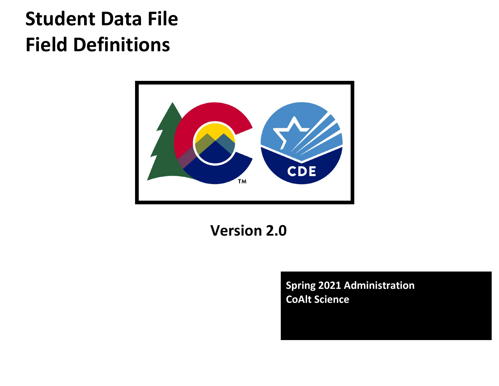# Student Data File Field Definitions



## Version 2.0

Spring 2021 Administration CoAlt Science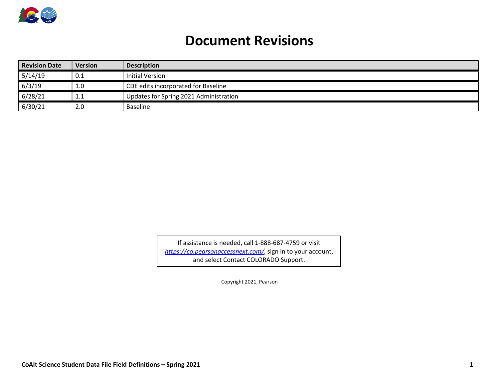

### Document Revisions

| <b>Revision Date</b> | <b>Version</b> | <b>Description</b>                     |  |  |  |  |  |
|----------------------|----------------|----------------------------------------|--|--|--|--|--|
| 5/14/19              | 0.1            | Initial Version                        |  |  |  |  |  |
| 6/3/19               | 1.0            | CDE edits incorporated for Baseline    |  |  |  |  |  |
| 6/28/21              | <b>L.L</b>     | Updates for Spring 2021 Administration |  |  |  |  |  |
| 6/30/21              | 2.0            | <b>Baseline</b>                        |  |  |  |  |  |

If assistance is needed, call 1-888-687-4759 or visit https://co.pearsonaccessnext.com/, sign in to your account, and select Contact COLORADO Support.

Copyright 2021, Pearson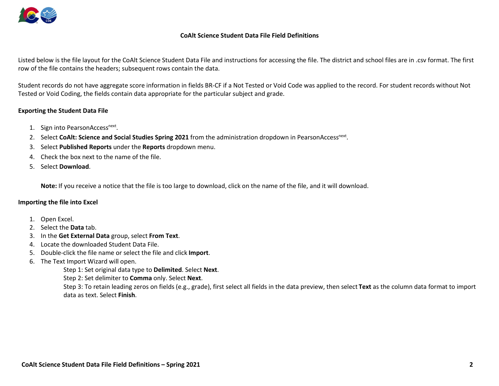

#### CoAlt Science Student Data File Field Definitions

Listed below is the file layout for the CoAlt Science Student Data File and instructions for accessing the file. The district and school files are in .csv format. The first row of the file contains the headers; subsequent rows contain the data.

Student records do not have aggregate score information in fields BR-CF if a Not Tested or Void Code was applied to the record. For student records without Not Tested or Void Coding, the fields contain data appropriate for the particular subject and grade.

#### Exporting the Student Data File

- 1. Sign into PearsonAccess<sup>next</sup>.
- 2. Select CoAlt: Science and Social Studies Spring 2021 from the administration dropdown in PearsonAccess<sup>next</sup>.
- 3. Select Published Reports under the Reports dropdown menu.
- 4. Check the box next to the name of the file.
- 5. Select Download.

Note: If you receive a notice that the file is too large to download, click on the name of the file, and it will download.

#### Importing the file into Excel

- 1. Open Excel.
- 2. Select the Data tab.
- 3. In the Get External Data group, select From Text.
- 4. Locate the downloaded Student Data File.
- 5. Double-click the file name or select the file and click Import.
- 6. The Text Import Wizard will open.

Step 1: Set original data type to Delimited. Select Next.

Step 2: Set delimiter to Comma only. Select Next.

Step 3: To retain leading zeros on fields (e.g., grade), first select all fields in the data preview, then select Text as the column data format to import data as text. Select Finish.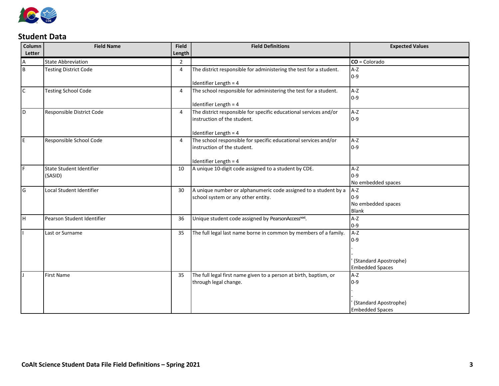

#### Student Data

| Column<br>Letter | <b>Field Name</b>                   | <b>Field</b><br>Length | <b>Field Definitions</b>                                                                                                  | <b>Expected Values</b>                                            |
|------------------|-------------------------------------|------------------------|---------------------------------------------------------------------------------------------------------------------------|-------------------------------------------------------------------|
| Α                | <b>State Abbreviation</b>           | $\overline{2}$         |                                                                                                                           | $CO = Colorado$                                                   |
| $\overline{B}$   | <b>Testing District Code</b>        | 4                      | The district responsible for administering the test for a student.                                                        | $A-Z$<br>$0-9$                                                    |
| l C              | <b>Testing School Code</b>          | 4                      | Identifier Length = 4<br>The school responsible for administering the test for a student.<br>Identifier Length = 4        | $A-Z$<br>$0-9$                                                    |
| ١D               | Responsible District Code           | 4                      | The district responsible for specific educational services and/or<br>instruction of the student.<br>Identifier Length = 4 | $A-Z$<br>$0-9$                                                    |
| l E              | Responsible School Code             | $\overline{4}$         | The school responsible for specific educational services and/or<br>instruction of the student.<br>Identifier Length = 4   | A-Z<br>$0-9$                                                      |
| ١F               | State Student Identifier<br>(SASID) | 10                     | A unique 10-digit code assigned to a student by CDE.                                                                      | A-Z<br>$0-9$<br>No embedded spaces                                |
| l G              | Local Student Identifier            | 30                     | A unique number or alphanumeric code assigned to a student by a<br>school system or any other entity.                     | A-Z<br>$0-9$<br>No embedded spaces<br><b>Blank</b>                |
| lн               | Pearson Student Identifier          | 36                     | Unique student code assigned by PearsonAccessnext.                                                                        | $A-Z$<br>$0 - 9$                                                  |
|                  | Last or Surname                     | 35                     | The full legal last name borne in common by members of a family.                                                          | A-Z<br>$0-9$<br>(Standard Apostrophe)<br><b>Embedded Spaces</b>   |
|                  | <b>First Name</b>                   | 35                     | The full legal first name given to a person at birth, baptism, or<br>through legal change.                                | $A-Z$<br>$0-9$<br>(Standard Apostrophe)<br><b>Embedded Spaces</b> |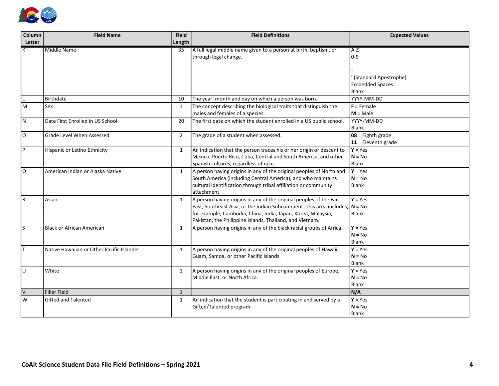

| Column | <b>Field Name</b>                         | <b>Field</b>   | <b>Field Definitions</b>                                                                                                                                                                                                                                                        | <b>Expected Values</b>                                          |
|--------|-------------------------------------------|----------------|---------------------------------------------------------------------------------------------------------------------------------------------------------------------------------------------------------------------------------------------------------------------------------|-----------------------------------------------------------------|
| Letter |                                           | Length         |                                                                                                                                                                                                                                                                                 |                                                                 |
|        | Middle Name                               | 35             | A full legal middle name given to a person at birth, baptism, or<br>through legal change.                                                                                                                                                                                       | $A-Z$<br>$0-9$                                                  |
|        |                                           |                |                                                                                                                                                                                                                                                                                 | (Standard Apostrophe)<br><b>Embedded Spaces</b><br><b>Blank</b> |
|        | Birthdate                                 | 10             | The year, month and day on which a person was born.                                                                                                                                                                                                                             | YYYY-MM-DD                                                      |
| lм     | Sex                                       | 1              | The concept describing the biological traits that distinguish the<br>males and females of a species.                                                                                                                                                                            | $F =$ Female<br>$M = Male$                                      |
| ١N     | Date First Enrolled in US School          | 20             | The first date on which the student enrolled in a US public school.                                                                                                                                                                                                             | YYYY-MM-DD<br>Blank                                             |
| I٥     | <b>Grade Level When Assessed</b>          | $\overline{2}$ | The grade of a student when assessed.                                                                                                                                                                                                                                           | $08 =$ Eighth grade<br>$11 =$ Eleventh grade                    |
| l P    | Hispanic or Latino Ethnicity              | $\mathbf{1}$   | An indication that the person traces his or her origin or descent to<br>Mexico, Puerto Rico, Cuba, Central and South America, and other<br>Spanish cultures, regardless of race.                                                                                                | $Y = Yes$<br>$N = No$<br><b>Blank</b>                           |
| I۹     | American Indian or Alaska Native          | $\mathbf{1}$   | A person having origins in any of the original peoples of North and<br>South America (including Central America), and who maintains<br>cultural identification through tribal affiliation or community<br>attachment.                                                           | $Y = Yes$<br>$N = No$<br>Blank                                  |
| l R    | Asian                                     | 1              | A person having origins in any of the original peoples of the Far<br>East, Southeast Asia, or the Indian Subcontinent. This area includes, $N = No$<br>for example, Cambodia, China, India, Japan, Korea, Malaysia,<br>Pakistan, the Philippine Islands, Thailand, and Vietnam. | $Y = Yes$<br>Blank                                              |
| ls     | <b>Black or African American</b>          | $\mathbf{1}$   | A person having origins in any of the black racial groups of Africa.                                                                                                                                                                                                            | $Y = Yes$<br>$N = No$<br>Blank                                  |
| Iт     | Native Hawaiian or Other Pacific Islander | $\mathbf{1}$   | A person having origins in any of the original peoples of Hawaii,<br>Guam, Samoa, or other Pacific Islands.                                                                                                                                                                     | $Y = Yes$<br>$N = No$<br>Blank                                  |
| lu     | White                                     | $\mathbf{1}$   | A person having origins in any of the original peoples of Europe,<br>Middle East, or North Africa.                                                                                                                                                                              | $Y = Yes$<br>$N = No$<br>Blank                                  |
| $\vee$ | <b>Filler Field</b>                       | $\mathbf{1}$   |                                                                                                                                                                                                                                                                                 | N/A                                                             |
| W      | <b>Gifted and Talented</b>                | 1              | An indication that the student is participating in and served by a<br>Gifted/Talented program.                                                                                                                                                                                  | $Y = Yes$<br>$N = No$<br><b>Blank</b>                           |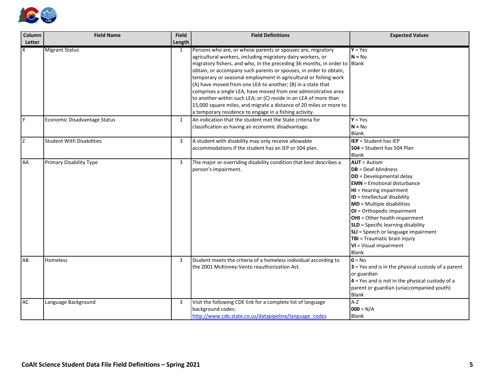

| Column    | <b>Field Name</b>                | <b>Field</b> | <b>Field Definitions</b>                                                  | <b>Expected Values</b>                               |
|-----------|----------------------------------|--------------|---------------------------------------------------------------------------|------------------------------------------------------|
| Letter    |                                  | Length       |                                                                           |                                                      |
|           | <b>Migrant Status</b>            | 1            | Persons who are, or whose parents or spouses are, migratory               | $Y = Yes$                                            |
|           |                                  |              | agricultural workers, including migratory dairy workers, or               | $N = No$                                             |
|           |                                  |              | migratory fishers, and who, in the preceding 36 months, in order to Blank |                                                      |
|           |                                  |              | obtain, or accompany such parents or spouses, in order to obtain,         |                                                      |
|           |                                  |              | temporary or seasonal employment in agricultural or fishing work          |                                                      |
|           |                                  |              | (A) have moved from one LEA to another; (B) in a state that               |                                                      |
|           |                                  |              | comprises a single LEA, have moved from one administrative area           |                                                      |
|           |                                  |              | to another within such LEA; or (C) reside in an LEA of more than          |                                                      |
|           |                                  |              | 15,000 square miles, and migrate a distance of 20 miles or more to        |                                                      |
|           |                                  |              | a temporary residence to engage in a fishing activity.                    |                                                      |
| I۷        | Economic Disadvantage Status     | $\mathbf{1}$ | An indication that the student met the State criteria for                 | $Y = Yes$                                            |
|           |                                  |              | classification as having an economic disadvantage.                        | $N = No$                                             |
|           |                                  |              |                                                                           | Blank                                                |
| Iz        | <b>Student With Disabilities</b> | 3            | A student with disability may only receive allowable                      | <b>IEP</b> = Student has IEP                         |
|           |                                  |              | accommodations if the student has an IEP or 504 plan.                     | $504$ = Student has 504 Plan                         |
|           |                                  |              |                                                                           | Blank                                                |
| AA        | Primary Disability Type          | 3            | The major or overriding disability condition that best describes a        | <b>AUT</b> = Autism                                  |
|           |                                  |              | person's impairment.                                                      | <b>DB</b> = Deaf-blindness                           |
|           |                                  |              |                                                                           | <b>DD</b> = Developmental delay                      |
|           |                                  |              |                                                                           | <b>EMN</b> = Emotional disturbance                   |
|           |                                  |              |                                                                           | HI = Hearing impairment                              |
|           |                                  |              |                                                                           | ID = Intellectual disability                         |
|           |                                  |              |                                                                           | <b>MD</b> = Multiple disabilities                    |
|           |                                  |              |                                                                           | OI = Orthopedic impairment                           |
|           |                                  |              |                                                                           | OHI = Other health impairment                        |
|           |                                  |              |                                                                           | <b>SLD</b> = Specific learning disability            |
|           |                                  |              |                                                                           | <b>SLI</b> = Speech or language impairment           |
|           |                                  |              |                                                                           | TBI = Traumatic brain injury                         |
|           |                                  |              |                                                                           | VI = Visual impairment                               |
|           |                                  |              |                                                                           | Blank                                                |
| AB        | Homeless                         | 3            | Student meets the criteria of a homeless individual according to          | $0 = No$                                             |
|           |                                  |              | the 2001 McKinney-Vento reauthorization Act.                              | $3$ = Yes and is in the physical custody of a parent |
|           |                                  |              |                                                                           | or guardian                                          |
|           |                                  |              |                                                                           | $4$ = Yes and is not in the physical custody of a    |
|           |                                  |              |                                                                           | parent or guardian (unaccompanied youth)             |
|           |                                  |              |                                                                           | Blank                                                |
| <b>AC</b> | Language Background              | 3            | Visit the following CDE link for a complete list of language              | $A-Z$                                                |
|           |                                  |              | background codes:                                                         | $000 = N/A$                                          |
|           |                                  |              | http://www.cde.state.co.us/datapipeline/language codes                    | <b>Blank</b>                                         |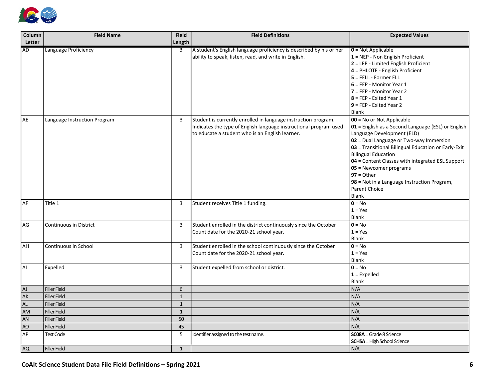

| Column    | <b>Field Name</b>            | <b>Field</b> | <b>Field Definitions</b>                                                                                                                                                               | <b>Expected Values</b>                                                                                                                                                                                                                                                                                                                                                                                                                         |
|-----------|------------------------------|--------------|----------------------------------------------------------------------------------------------------------------------------------------------------------------------------------------|------------------------------------------------------------------------------------------------------------------------------------------------------------------------------------------------------------------------------------------------------------------------------------------------------------------------------------------------------------------------------------------------------------------------------------------------|
| Letter    |                              | Length       |                                                                                                                                                                                        |                                                                                                                                                                                                                                                                                                                                                                                                                                                |
| <b>AD</b> | Language Proficiency         | 3            | A student's English language proficiency is described by his or her<br>ability to speak, listen, read, and write in English.                                                           | $0 = Not Applicable$<br>$1 =$ NEP - Non English Proficient<br>$2 = LEP - Limited English Proficient$<br>4 = PHLOTE - English Proficient<br>$5$ = FELL - Former ELL<br>$6$ = FEP - Monitor Year 1<br>$7 = FEP - Monitor Year 2$<br>$8$ = FEP - Exited Year 1<br>$9$ = FEP - Exited Year 2<br>Blank                                                                                                                                              |
| AE        | Language Instruction Program | 3            | Student is currently enrolled in language instruction program.<br>Indicates the type of English language instructional program used<br>to educate a student who is an English learner. | $\overline{00}$ = No or Not Applicable<br>01 = English as a Second Language (ESL) or English<br>Language Development (ELD)<br>$\Omega$ = Dual Language or Two-way Immersion<br>03 = Transitional Bilingual Education or Early-Exit<br>Bilingual Education<br>04 = Content Classes with integrated ESL Support<br>05 = Newcomer programs<br>$97 = Other$<br>98 = Not in a Language Instruction Program,<br><b>Parent Choice</b><br><b>Blank</b> |
| <b>AF</b> | Title 1                      | 3            | Student receives Title 1 funding.                                                                                                                                                      | $0 = No$<br>$1 = Yes$<br><b>Blank</b>                                                                                                                                                                                                                                                                                                                                                                                                          |
| AG        | Continuous in District       | 3            | Student enrolled in the district continuously since the October<br>Count date for the 2020-21 school year.                                                                             | $0 = No$<br>$1 = Yes$<br><b>Blank</b>                                                                                                                                                                                                                                                                                                                                                                                                          |
| <b>AH</b> | Continuous in School         | 3            | Student enrolled in the school continuously since the October<br>Count date for the 2020-21 school year.                                                                               | $0 = No$<br>$1 = Yes$<br><b>Blank</b>                                                                                                                                                                                                                                                                                                                                                                                                          |
| AI        | Expelled                     | 3            | Student expelled from school or district.                                                                                                                                              | $0 = No$<br>$1 =$ Expelled<br><b>Blank</b>                                                                                                                                                                                                                                                                                                                                                                                                     |
| <b>AJ</b> | <b>Filler Field</b>          | 6            |                                                                                                                                                                                        | N/A                                                                                                                                                                                                                                                                                                                                                                                                                                            |
| <b>AK</b> | <b>Filler Field</b>          | $\mathbf{1}$ |                                                                                                                                                                                        | N/A                                                                                                                                                                                                                                                                                                                                                                                                                                            |
| <b>AL</b> | <b>Filler Field</b>          | $\mathbf{1}$ |                                                                                                                                                                                        | N/A                                                                                                                                                                                                                                                                                                                                                                                                                                            |
| AM        | <b>Filler Field</b>          | $\mathbf{1}$ |                                                                                                                                                                                        | N/A                                                                                                                                                                                                                                                                                                                                                                                                                                            |
| AN        | <b>Filler Field</b>          | 50           |                                                                                                                                                                                        | N/A                                                                                                                                                                                                                                                                                                                                                                                                                                            |
| AO        | <b>Filler Field</b>          | 45           |                                                                                                                                                                                        | N/A                                                                                                                                                                                                                                                                                                                                                                                                                                            |
| AP        | <b>Test Code</b>             | 5            | Identifier assigned to the test name.                                                                                                                                                  | SCO8A = Grade 8 Science<br><b>SCHSA</b> = High School Science                                                                                                                                                                                                                                                                                                                                                                                  |
| <b>AQ</b> | <b>Filler Field</b>          | $\mathbf{1}$ |                                                                                                                                                                                        | N/A                                                                                                                                                                                                                                                                                                                                                                                                                                            |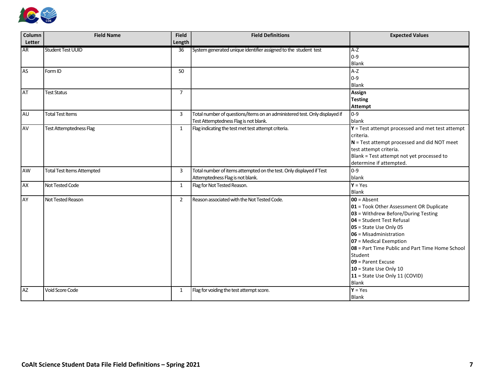

| Column    | <b>Field Name</b>                 | <b>Field</b>    | <b>Field Definitions</b>                                                                                            | <b>Expected Values</b>                                                                                                                                                                                                                                                                                                                                                                          |
|-----------|-----------------------------------|-----------------|---------------------------------------------------------------------------------------------------------------------|-------------------------------------------------------------------------------------------------------------------------------------------------------------------------------------------------------------------------------------------------------------------------------------------------------------------------------------------------------------------------------------------------|
| Letter    |                                   | Length          |                                                                                                                     |                                                                                                                                                                                                                                                                                                                                                                                                 |
| <b>AR</b> | <b>Student Test UUID</b>          | $\overline{36}$ | System generated unique identifier assigned to the student test                                                     | $A-Z$<br>$0-9$<br>Blank                                                                                                                                                                                                                                                                                                                                                                         |
| <b>AS</b> | Form ID                           | 50              |                                                                                                                     | $A-Z$<br>$ 0-9 $<br><b>Blank</b>                                                                                                                                                                                                                                                                                                                                                                |
| <b>AT</b> | <b>Test Status</b>                | $\overline{7}$  |                                                                                                                     | Assign<br><b>Testing</b><br>Attempt                                                                                                                                                                                                                                                                                                                                                             |
| <b>AU</b> | <b>Total Test Items</b>           | 3               | Total number of questions/items on an administered test. Only displayed if<br>Test Attemptedness Flag is not blank. | $ 0-9 $<br>blank                                                                                                                                                                                                                                                                                                                                                                                |
| AV        | <b>Test Attemptedness Flag</b>    | $\mathbf{1}$    | Flag indicating the test met test attempt criteria.                                                                 | $Y = Test$ attempt processed and met test attempt<br>criteria.<br>$N$ = Test attempt processed and did NOT meet<br>test attempt criteria.<br>Blank = Test attempt not yet processed to<br>determine if attempted.                                                                                                                                                                               |
| AW        | <b>Total Test Items Attempted</b> | 3               | Total number of items attempted on the test. Only displayed if Test<br>Attemptedness Flag is not blank.             | $0 - 9$<br>blank                                                                                                                                                                                                                                                                                                                                                                                |
| <b>AX</b> | Not Tested Code                   | $\mathbf{1}$    | Flag for Not Tested Reason.                                                                                         | $Y = Yes$<br><b>Blank</b>                                                                                                                                                                                                                                                                                                                                                                       |
| AY        | Not Tested Reason                 | $\overline{2}$  | Reason associated with the Not Tested Code.                                                                         | $00 =$ Absent<br>01 = Took Other Assessment OR Duplicate<br>$ 03 $ = Withdrew Before/During Testing<br>$ 04$ = Student Test Refusal<br>$ 05 $ = State Use Only 05<br>$ 06 $ = Misadministration<br>$ 07 $ = Medical Exemption<br>08 = Part Time Public and Part Time Home School<br>Student<br><b>09</b> = Parent Excuse<br>$10$ = State Use Only 10<br>11 = State Use Only 11 (COVID)<br>Blank |
| <b>AZ</b> | <b>Void Score Code</b>            | $\mathbf{1}$    | Flag for voiding the test attempt score.                                                                            | $Y = Yes$<br>Blank                                                                                                                                                                                                                                                                                                                                                                              |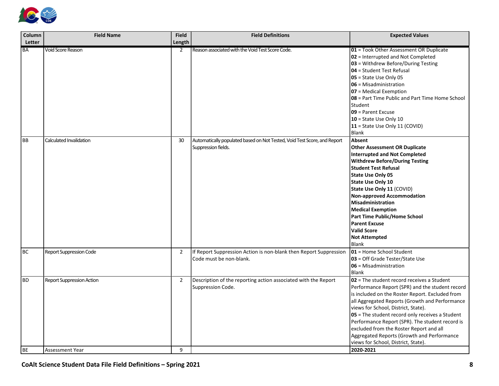

| Column                 | <b>Field Name</b>                                   | Field               | <b>Field Definitions</b>                                                                        | <b>Expected Values</b>                                                                                                                                                                                                                                                                                                                                                                                                                                                                         |
|------------------------|-----------------------------------------------------|---------------------|-------------------------------------------------------------------------------------------------|------------------------------------------------------------------------------------------------------------------------------------------------------------------------------------------------------------------------------------------------------------------------------------------------------------------------------------------------------------------------------------------------------------------------------------------------------------------------------------------------|
| Letter                 |                                                     | Length              |                                                                                                 |                                                                                                                                                                                                                                                                                                                                                                                                                                                                                                |
| <b>BA</b>              | Void Score Reason                                   | 2                   | Reason associated with the Void Test Score Code.                                                | 01 = Took Other Assessment OR Duplicate<br>02 = Interrupted and Not Completed<br>03 = Withdrew Before/During Testing<br>04 = Student Test Refusal<br>05 = State Use Only 05<br>$06$ = Misadministration<br>07 = Medical Exemption<br>08 = Part Time Public and Part Time Home School<br>Student<br>09 = Parent Excuse<br>$10 =$ State Use Only 10<br>11 = State Use Only 11 (COVID)<br>Blank                                                                                                   |
| <b>BB</b>              | Calculated Invalidation                             | 30 <sup>°</sup>     | Automatically populated based on Not Tested, Void Test Score, and Report<br>Suppression fields. | Absent<br><b>Other Assessment OR Duplicate</b><br><b>Interrupted and Not Completed</b><br><b>Withdrew Before/During Testing</b><br><b>Student Test Refusal</b><br><b>State Use Only 05</b><br><b>State Use Only 10</b><br>State Use Only 11 (COVID)<br><b>Non-approved Accommodation</b><br><b>Misadministration</b><br><b>Medical Exemption</b><br><b>Part Time Public/Home School</b><br><b>Parent Excuse</b><br><b>Valid Score</b><br><b>Not Attempted</b><br><b>Blank</b>                  |
| <b>BC</b>              | <b>Report Suppression Code</b>                      | $\overline{2}$      | If Report Suppression Action is non-blank then Report Suppression<br>Code must be non-blank.    | 01 = Home School Student<br>03 = Off Grade Tester/State Use<br>$06$ = Misadministration<br><b>Blank</b>                                                                                                                                                                                                                                                                                                                                                                                        |
| <b>BD</b><br><b>BE</b> | Report Suppression Action<br><b>Assessment Year</b> | $\overline{2}$<br>9 | Description of the reporting action associated with the Report<br>Suppression Code.             | $02$ = The student record receives a Student<br>Performance Report (SPR) and the student record<br>is included on the Roster Report. Excluded from<br>all Aggregated Reports (Growth and Performance<br>views for School, District, State).<br>05 = The student record only receives a Student<br>Performance Report (SPR). The student record is<br>excluded from the Roster Report and all<br>Aggregated Reports (Growth and Performance<br>views for School, District, State).<br>2020-2021 |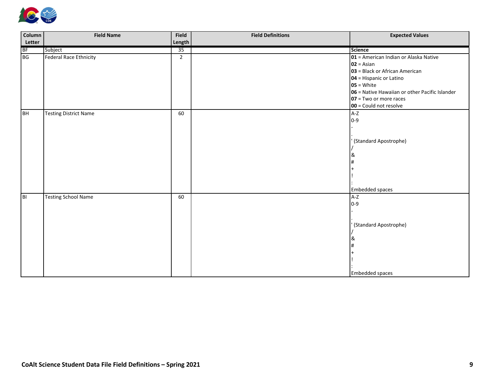

| Column         | <b>Field Name</b>          | <b>Field</b>   | <b>Field Definitions</b> | <b>Expected Values</b>                             |
|----------------|----------------------------|----------------|--------------------------|----------------------------------------------------|
| Letter         |                            | Length         |                          |                                                    |
| <b>BF</b>      | Subject                    | 35             |                          | <b>Science</b>                                     |
| BG             | Federal Race Ethnicity     | $\overline{2}$ |                          | $\Omega$ = American Indian or Alaska Native        |
|                |                            |                |                          | $ 02 $ = Asian                                     |
|                |                            |                |                          | 03 = Black or African American                     |
|                |                            |                |                          | $\vert$ 04 = Hispanic or Latino                    |
|                |                            |                |                          | $ 05 $ = White                                     |
|                |                            |                |                          | $ 06 $ = Native Hawaiian or other Pacific Islander |
|                |                            |                |                          | $ 07 $ = Two or more races                         |
|                |                            |                |                          | $ 00 $ = Could not resolve                         |
| BH             | Testing District Name      | 60             |                          | $A-Z$                                              |
|                |                            |                |                          | 0-9                                                |
|                |                            |                |                          |                                                    |
|                |                            |                |                          |                                                    |
|                |                            |                |                          | (Standard Apostrophe)                              |
|                |                            |                |                          |                                                    |
|                |                            |                |                          | &                                                  |
|                |                            |                |                          |                                                    |
|                |                            |                |                          |                                                    |
|                |                            |                |                          |                                                    |
|                |                            |                |                          |                                                    |
|                |                            |                |                          | Embedded spaces                                    |
| $\overline{B}$ | <b>Testing School Name</b> | 60             |                          | $A-Z$                                              |
|                |                            |                |                          | $0 - 9$                                            |
|                |                            |                |                          |                                                    |
|                |                            |                |                          |                                                    |
|                |                            |                |                          | ' (Standard Apostrophe)                            |
|                |                            |                |                          |                                                    |
|                |                            |                |                          | &                                                  |
|                |                            |                |                          |                                                    |
|                |                            |                |                          |                                                    |
|                |                            |                |                          |                                                    |
|                |                            |                |                          |                                                    |
|                |                            |                |                          | <b>Embedded spaces</b>                             |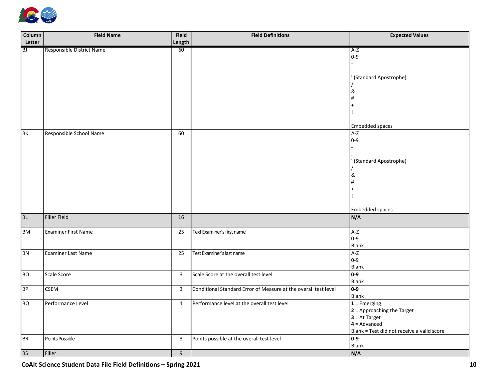

| Column    | <b>Field Name</b>          | <b>Field</b>   | <b>Field Definitions</b>                                        | <b>Expected Values</b>                     |
|-----------|----------------------------|----------------|-----------------------------------------------------------------|--------------------------------------------|
| Letter    |                            | Length         |                                                                 |                                            |
| <b>BJ</b> | Responsible District Name  | 60             |                                                                 | $A-Z$                                      |
|           |                            |                |                                                                 | $0-9$                                      |
|           |                            |                |                                                                 |                                            |
|           |                            |                |                                                                 | (Standard Apostrophe)                      |
|           |                            |                |                                                                 |                                            |
|           |                            |                |                                                                 | &                                          |
|           |                            |                |                                                                 |                                            |
|           |                            |                |                                                                 |                                            |
|           |                            |                |                                                                 |                                            |
|           |                            |                |                                                                 |                                            |
| BK        |                            |                |                                                                 | Embedded spaces<br>$A-Z$                   |
|           | Responsible School Name    | 60             |                                                                 | $0-9$                                      |
|           |                            |                |                                                                 |                                            |
|           |                            |                |                                                                 |                                            |
|           |                            |                |                                                                 | (Standard Apostrophe)                      |
|           |                            |                |                                                                 |                                            |
|           |                            |                |                                                                 |                                            |
|           |                            |                |                                                                 |                                            |
|           |                            |                |                                                                 |                                            |
|           |                            |                |                                                                 |                                            |
|           |                            |                |                                                                 | Embedded spaces                            |
| <b>BL</b> | Filler Field               | 16             |                                                                 | N/A                                        |
|           |                            |                |                                                                 |                                            |
| <b>BM</b> | <b>Examiner First Name</b> | 25             | Text Examiner's first name                                      | A-Z                                        |
|           |                            |                |                                                                 | $0 - 9$                                    |
|           |                            |                |                                                                 | Blank                                      |
| <b>BN</b> | <b>Examiner Last Name</b>  | 25             | Test Examiner's last name                                       | $A-Z$<br>$0-9$                             |
|           |                            |                |                                                                 | Blank                                      |
| <b>BO</b> | Scale Score                | $\overline{3}$ | Scale Score at the overall test level                           | $ 0-9 $                                    |
|           |                            |                |                                                                 | Blank                                      |
| <b>BP</b> | <b>CSEM</b>                | $\overline{3}$ | Conditional Standard Error of Measure at the overall test level | $\overline{0.9}$                           |
|           |                            |                |                                                                 | Blank                                      |
| <b>BQ</b> | Performance Level          | $\mathbf{1}$   | Performance level at the overall test level                     | $1 =$ Emerging                             |
|           |                            |                |                                                                 | $2$ = Approaching the Target               |
|           |                            |                |                                                                 | $3 = At Target$                            |
|           |                            |                |                                                                 | $4 =$ Advanced                             |
|           |                            |                |                                                                 | Blank = Test did not receive a valid score |
|           |                            |                |                                                                 |                                            |
|           | Filler                     | 9              |                                                                 | N/A                                        |
| BR        | Points Possible            | $\mathbf{3}$   | Points possible at the overall test level                       | $\overline{0.9}$<br>Blank                  |
| <b>BS</b> |                            |                |                                                                 |                                            |